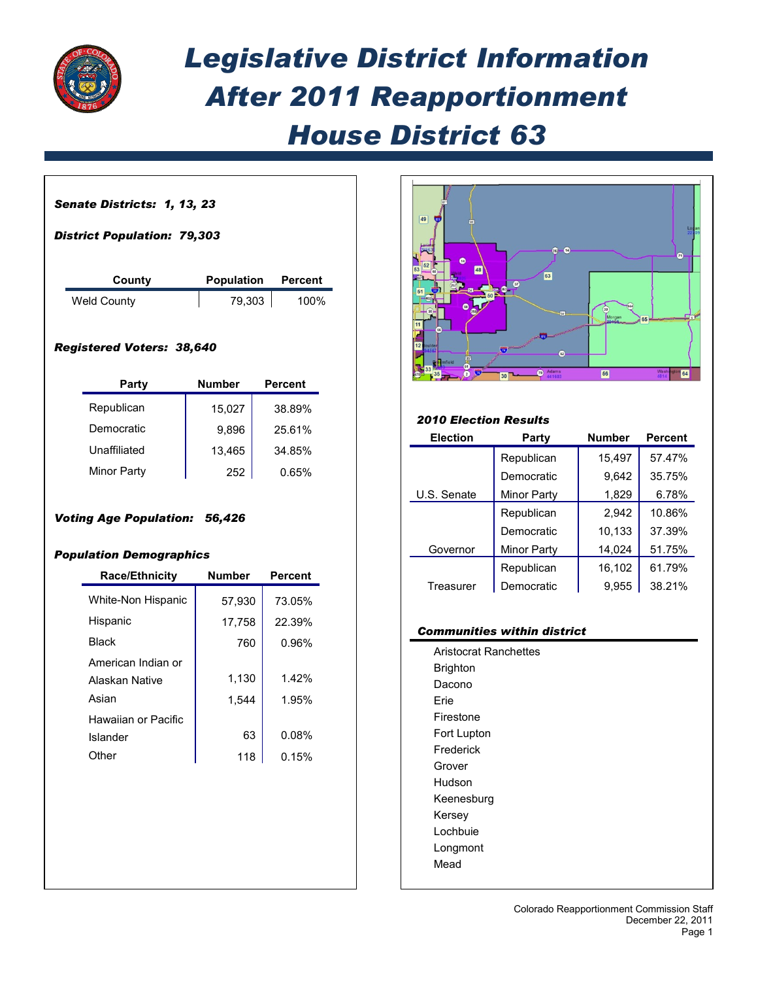

## *Legislative District Information After 2011 Reapportionment House District 63*

| County                                                                                                                |                      | Population<br><b>Percent</b> |  |  |  |
|-----------------------------------------------------------------------------------------------------------------------|----------------------|------------------------------|--|--|--|
| <b>Weld County</b>                                                                                                    | 79,303               | 100%                         |  |  |  |
| <b>Registered Voters: 38,640</b>                                                                                      |                      |                              |  |  |  |
| Party                                                                                                                 | <b>Number</b>        | <b>Percent</b>               |  |  |  |
| Republican                                                                                                            | 15,027               | 38.89%                       |  |  |  |
| Democratic                                                                                                            | 9,896                | 25.61%                       |  |  |  |
|                                                                                                                       |                      | 34.85%                       |  |  |  |
| Unaffiliated                                                                                                          | 13,465               |                              |  |  |  |
| <b>Minor Party</b><br><b>Voting Age Population: 56,426</b><br><b>Population Demographics</b><br><b>Race/Ethnicity</b> | 252<br><b>Number</b> | 0.65%<br><b>Percent</b>      |  |  |  |
|                                                                                                                       |                      |                              |  |  |  |
| White-Non Hispanic                                                                                                    | 57,930               | 73.05%                       |  |  |  |
| Hispanic                                                                                                              | 17,758               | 22.39%                       |  |  |  |
| <b>Black</b>                                                                                                          | 760                  | 0.96%                        |  |  |  |
| American Indian or                                                                                                    |                      |                              |  |  |  |
| Alaskan Native<br>Asian                                                                                               | 1,130                | 1.42%                        |  |  |  |
| <b>Hawaiian or Pacific</b>                                                                                            | 1,544                | 1.95%                        |  |  |  |
| Islander                                                                                                              | 63                   | 0.08%                        |  |  |  |



## *2010 Election Results*

| <b>Election</b> | Party              | <b>Number</b> | <b>Percent</b> |
|-----------------|--------------------|---------------|----------------|
|                 | Republican         | 15,497        | 57.47%         |
|                 | Democratic         | 9,642         | 35.75%         |
| U.S. Senate     | Minor Party        | 1,829         | 6.78%          |
|                 | Republican         | 2,942         | 10.86%         |
|                 | Democratic         | 10,133        | 37.39%         |
| Governor        | <b>Minor Party</b> | 14,024        | 51.75%         |
|                 | Republican         | 16,102        | 61.79%         |
| Treasurer       | Democratic         | 9.955         | 38.21%         |

## *Communities within district*

Aristocrat Ranchettes Brighton Dacono Erie Firestone Fort Lupton Frederick Grover Hudson Keenesburg Kersey Lochbuie Longmont Mead